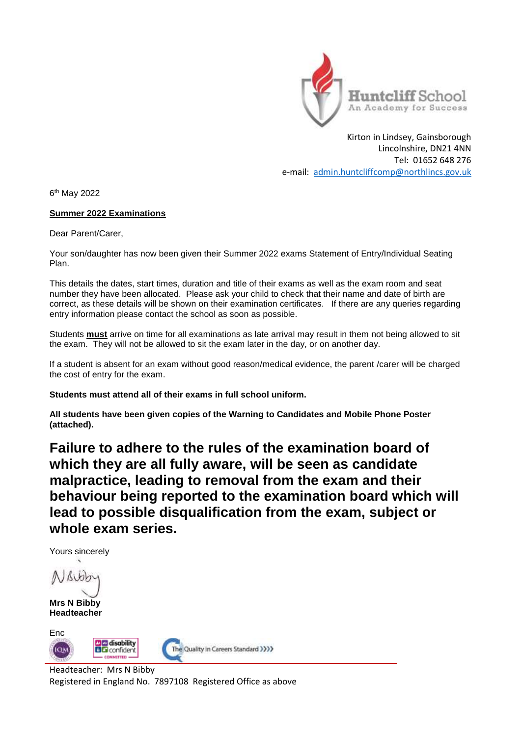

Kirton in Lindsey, Gainsborough Lincolnshire, DN21 4NN Tel: 01652 648 276 e-mail: [admin.huntcliffcomp@northlincs.gov.uk](mailto:admin.huntcliffcomp@northlincs.gov.uk)

6 th May 2022

## **Summer 2022 Examinations**

Dear Parent/Carer,

Your son/daughter has now been given their Summer 2022 exams Statement of Entry/Individual Seating Plan.

This details the dates, start times, duration and title of their exams as well as the exam room and seat number they have been allocated. Please ask your child to check that their name and date of birth are correct, as these details will be shown on their examination certificates. If there are any queries regarding entry information please contact the school as soon as possible.

Students **must** arrive on time for all examinations as late arrival may result in them not being allowed to sit the exam. They will not be allowed to sit the exam later in the day, or on another day.

If a student is absent for an exam without good reason/medical evidence, the parent /carer will be charged the cost of entry for the exam.

**Students must attend all of their exams in full school uniform.**

**All students have been given copies of the Warning to Candidates and Mobile Phone Poster (attached).** 

**Failure to adhere to the rules of the examination board of which they are all fully aware, will be seen as candidate malpractice, leading to removal from the exam and their behaviour being reported to the examination board which will lead to possible disqualification from the exam, subject or whole exam series.**

Yours sincerely

**Mrs N Bibby Headteacher**

Enc **D**<sub>@</sub> disability The Quality in Careers Standard >>>>> ю **BG** confident COMMITTED

Headteacher: Mrs N Bibby Registered in England No. 7897108 Registered Office as above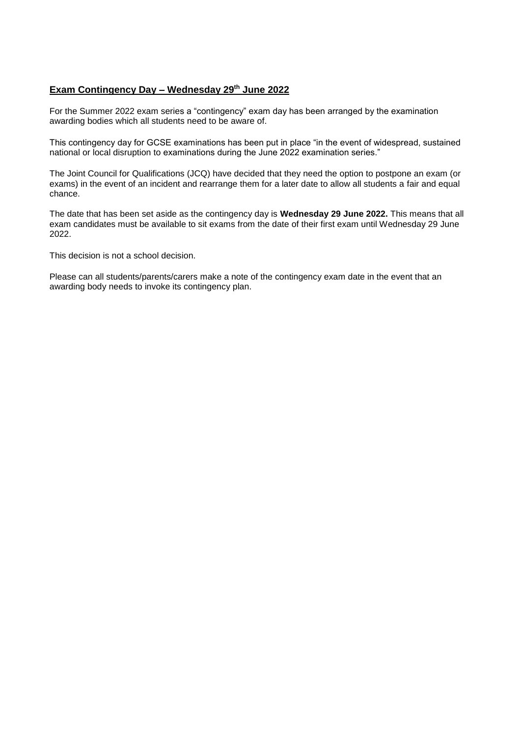## **Exam Contingency Day – Wednesday 29th June 2022**

For the Summer 2022 exam series a "contingency" exam day has been arranged by the examination awarding bodies which all students need to be aware of.

This contingency day for GCSE examinations has been put in place "in the event of widespread, sustained national or local disruption to examinations during the June 2022 examination series."

The Joint Council for Qualifications (JCQ) have decided that they need the option to postpone an exam (or exams) in the event of an incident and rearrange them for a later date to allow all students a fair and equal chance.

The date that has been set aside as the contingency day is **Wednesday 29 June 2022.** This means that all exam candidates must be available to sit exams from the date of their first exam until Wednesday 29 June 2022.

This decision is not a school decision.

Please can all students/parents/carers make a note of the contingency exam date in the event that an awarding body needs to invoke its contingency plan.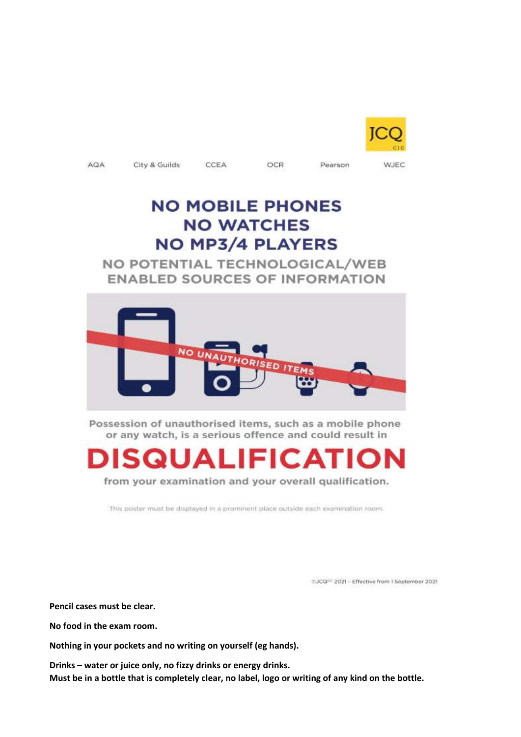

WJEC

AGA

City & Guilds

CCEA

OCR

Pearson

## **NO MOBILE PHONES NO WATCHES NO MP3/4 PLAYERS**

NO POTENTIAL TECHNOLOGICAL/WEB **ENABLED SOURCES OF INFORMATION** 



Possession of unauthorised items, such as a mobile phone or any watch, is a serious offence and could result in



from your examination and your overall qualification.

This poster must be displayed in a prominent place outside each examination room.

@JCQ<sup>cc</sup> 2021 - Effective from 1 September 2021

**Pencil cases must be clear.**

**No food in the exam room.**

**Nothing in your pockets and no writing on yourself (eg hands).**

**Drinks – water or juice only, no fizzy drinks or energy drinks. Must be in a bottle that is completely clear, no label, logo or writing of any kind on the bottle.**